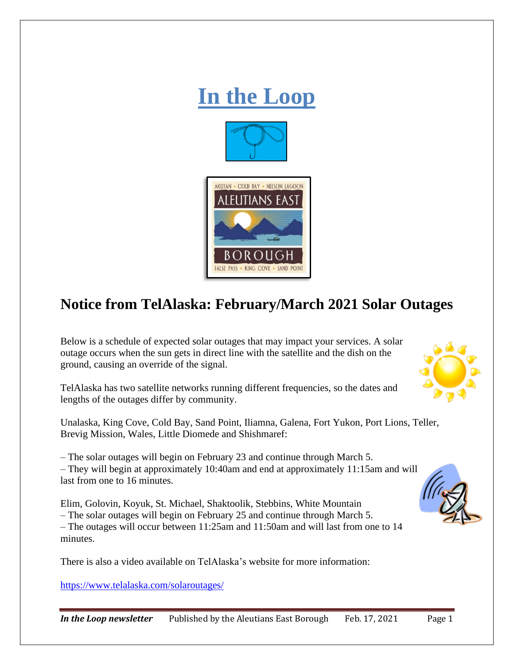

## **Notice from TelAlaska: February/March 2021 Solar Outages**

Below is a schedule of expected solar outages that may impact your services. A solar outage occurs when the sun gets in direct line with the satellite and the dish on the ground, causing an override of the signal.

TelAlaska has two satellite networks running different frequencies, so the dates and lengths of the outages differ by community.

Unalaska, King Cove, Cold Bay, Sand Point, Iliamna, Galena, Fort Yukon, Port Lions, Teller, Brevig Mission, Wales, Little Diomede and Shishmaref:

– The solar outages will begin on February 23 and continue through March 5.

– They will begin at approximately 10:40am and end at approximately 11:15am and will last from one to 16 minutes.

Elim, Golovin, Koyuk, St. Michael, Shaktoolik, Stebbins, White Mountain – The solar outages will begin on February 25 and continue through March 5. – The outages will occur between 11:25am and 11:50am and will last from one to 14 minutes.

There is also a video available on TelAlaska's website for more information:

<https://www.telalaska.com/solaroutages/>



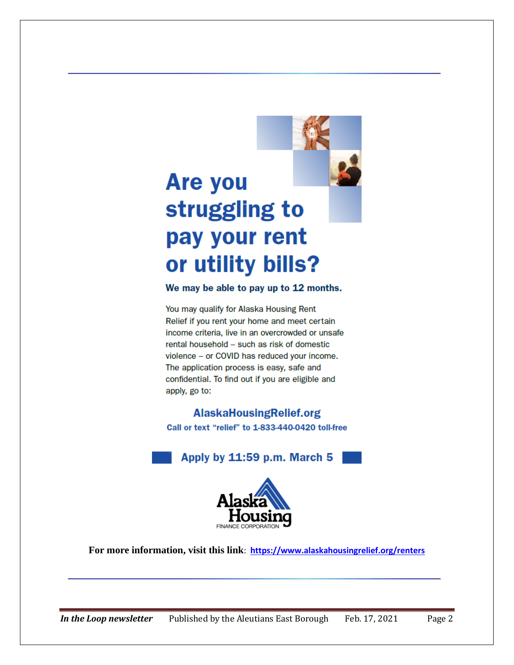# **Are you** struggling to pay your rent or utility bills?

#### We may be able to pay up to 12 months.

You may qualify for Alaska Housing Rent Relief if you rent your home and meet certain income criteria. live in an overcrowded or unsafe rental household - such as risk of domestic violence - or COVID has reduced your income. The application process is easy, safe and confidential. To find out if you are eligible and apply, go to:

### **AlaskaHousingRelief.org**

Call or text "relief" to 1-833-440-0420 toll-free





**For more information, visit this link**: **<https://www.alaskahousingrelief.org/renters>**